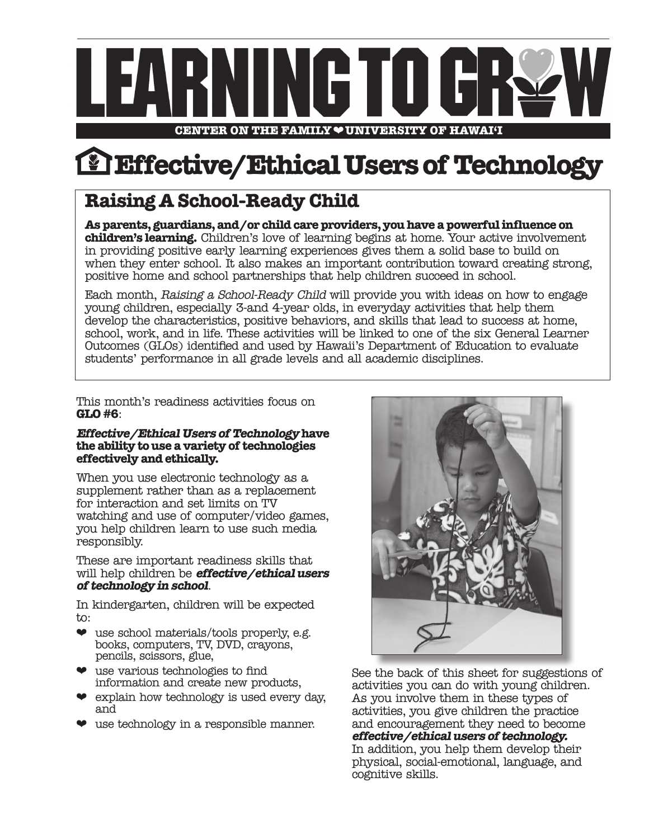

**Effective/Ethical Users of Technology**

# **Raising A School-Ready Child**

**As parents, guardians, and/or child care providers, you have a powerful influence on children's learning.** Children's love of learning begins at home. Your active involvement in providing positive early learning experiences gives them a solid base to build on when they enter school. It also makes an important contribution toward creating strong, positive home and school partnerships that help children succeed in school.

Each month, Raising a School-Ready Child will provide you with ideas on how to engage young children, especially 3-and 4-year olds, in everyday activities that help them develop the characteristics, positive behaviors, and skills that lead to success at home, school, work, and in life. These activities will be linked to one of the six General Learner Outcomes (GLOs) identified and used by Hawaii's Department of Education to evaluate students' performance in all grade levels and all academic disciplines.

This month's readiness activities focus on **GLO #6**:

#### **Effective/Ethical Users of Technology have the ability to use a variety of technologies effectively and ethically.**

When you use electronic technology as a supplement rather than as a replacement for interaction and set limits on TV watching and use of computer/video games, you help children learn to use such media responsibly.

These are important readiness skills that will help children be **effective/ethical users of technology in school**.

In kindergarten, children will be expected to:

- $\bullet$  use school materials/tools properly, e.g. books, computers, TV, DVD, crayons, pencils, scissors, glue,
- $\bullet$  use various technologies to find information and create new products,
- ❤ explain how technology is used every day, and
- ❤ use technology in a responsible manner.



See the back of this sheet for suggestions of activities you can do with young children. As you involve them in these types of activities, you give children the practice and encouragement they need to become **effective/ethical users of technology.**  In addition, you help them develop their physical, social-emotional, language, and cognitive skills.